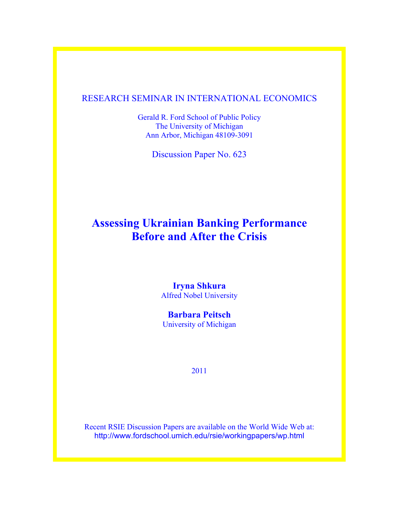## RESEARCH SEMINAR IN INTERNATIONAL ECONOMICS

Gerald R. Ford School of Public Policy The University of Michigan Ann Arbor, Michigan 48109-3091

Discussion Paper No. 623

# **Assessing Ukrainian Banking Performance Before and After the Crisis**

**Iryna Shkura** Alfred Nobel University

**Barbara Peitsch** University of Michigan

2011

Recent RSIE Discussion Papers are available on the World Wide Web at: http://www.fordschool.umich.edu/rsie/workingpapers/wp.html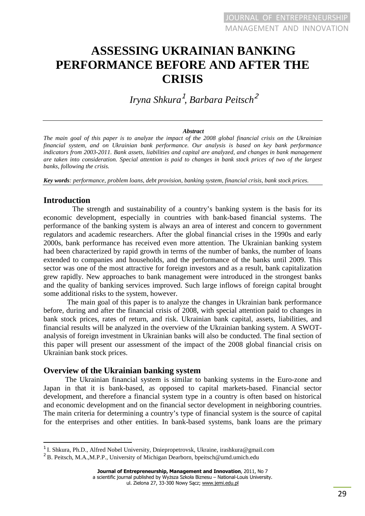# **ASSESSING UKRAINIAN BANKING PERFORMANCE BEFORE AND AFTER THE CRISIS**

*Iryna Shkura*<sup>1</sup> *, Barbara Peitsch*<sup>2</sup>

#### *Abstract*

*The main goal of this paper is to analyze the impact of the 2008 global financial crisis on the Ukrainian financial system, and on Ukrainian bank performance. Our analysis is based on key bank performance indicators from 2003-2011. Bank assets, liabilities and capital are analyzed, and changes in bank management are taken into consideration. Special attention is paid to changes in bank stock prices of two of the largest banks, following the crisis.* 

*Key words: performance, problem loans, debt provision, banking system, financial crisis, bank stock prices.* 

## **Introduction**

 $\overline{a}$ 

The strength and sustainability of a country's banking system is the basis for its economic development, especially in countries with bank-based financial systems. The performance of the banking system is always an area of interest and concern to government regulators and academic researchers. After the global financial crises in the 1990s and early 2000s, bank performance has received even more attention. The Ukrainian banking system had been characterized by rapid growth in terms of the number of banks, the number of loans extended to companies and households, and the performance of the banks until 2009. This sector was one of the most attractive for foreign investors and as a result, bank capitalization grew rapidly. New approaches to bank management were introduced in the strongest banks and the quality of banking services improved. Such large inflows of foreign capital brought some additional risks to the system, however.

The main goal of this paper is to analyze the changes in Ukrainian bank performance before, during and after the financial crisis of 2008, with special attention paid to changes in bank stock prices, rates of return, and risk. Ukrainian bank capital, assets, liabilities, and financial results will be analyzed in the overview of the Ukrainian banking system. A SWOTanalysis of foreign investment in Ukrainian banks will also be conducted. The final section of this paper will present our assessment of the impact of the 2008 global financial crisis on Ukrainian bank stock prices.

### **Overview of the Ukrainian banking system**

The Ukrainian financial system is similar to banking systems in the Euro-zone and Japan in that it is bank-based, as opposed to capital markets-based. Financial sector development, and therefore a financial system type in a country is often based on historical and economic development and on the financial sector development in neighboring countries. The main criteria for determining a country's type of financial system is the source of capital for the enterprises and other entities. In bank-based systems, bank loans are the primary

<sup>&</sup>lt;sup>1</sup> I. Shkura, Ph.D., Alfred Nobel University, Dniepropetrovsk, Ukraine, irashkura@gmail.com

<sup>&</sup>lt;sup>2</sup> B. Peitsch, M.A.,M.P.P., University of Michigan Dearborn, bpeitsch@umd.umich.edu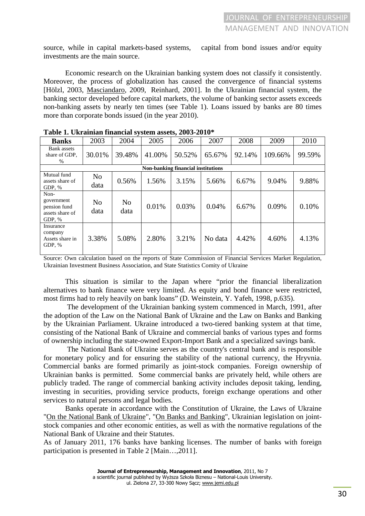source, while in capital markets-based systems, capital from bond issues and/or equity investments are the main source.

Economic research on the Ukrainian banking system does not classify it consistently. Moreover, the process of globalization has caused the convergence of financial systems [Hölzl, 2003, Masciandaro, 2009, Reinhard, 2001]. In the Ukrainian financial system, the banking sector developed before capital markets, the volume of banking sector assets exceeds non-banking assets by nearly ten times (see Table 1). Loans issued by banks are 80 times more than corporate bonds issued (in the year 2010).

| Tabit 1. UKTannan miantiai sysitin asstis, 2009-2010            |                        |                        |        |        |         |        |         |        |  |  |
|-----------------------------------------------------------------|------------------------|------------------------|--------|--------|---------|--------|---------|--------|--|--|
| <b>Banks</b>                                                    | 2003                   | 2004                   | 2005   | 2006   | 2007    | 2008   | 2009    | 2010   |  |  |
| Bank assets<br>share of GDP.<br>$\%$                            | 30.01%                 | 39.48%                 | 41.00% | 50.52% | 65.67%  | 92.14% | 109.66% | 99.59% |  |  |
| Non-banking financial institutions                              |                        |                        |        |        |         |        |         |        |  |  |
| Mutual fund<br>assets share of<br>GDP, %                        | N <sub>o</sub><br>data | 0.56%                  | 1.56%  | 3.15%  | 5.66%   | 6.67%  | 9.04%   | 9.88%  |  |  |
| Non-<br>government<br>pension fund<br>assets share of<br>GDP, % | No<br>data             | N <sub>0</sub><br>data | 0.01%  | 0.03%  | 0.04%   | 6.67%  | 0.09%   | 0.10%  |  |  |
| Insurance<br>company<br>Assets share in<br>GDP, %               | 3.38%                  | 5.08%                  | 2.80%  | 3.21%  | No data | 4.42%  | 4.60%   | 4.13%  |  |  |

**Table 1. Ukrainian financial system assets, 2003-2010\*** 

Source: Own calculation based on the reports of State Commission of Financial Services Market Regulation, Ukrainian Investment Business Association, and State Statistics Comity of Ukraine

This situation is similar to the Japan where "prior the financial liberalization alternatives to bank finance were very limited. As equity and bond finance were restricted, most firms had to rely heavily on bank loans" (D. Weinstein, Y. Yafeh, 1998, p.635).

 The development of the Ukrainian banking system commenced in March, 1991, after the adoption of the Law on the National Bank of Ukraine and the Law on Banks and Banking by the Ukrainian Parliament. Ukraine introduced a two-tiered banking system at that time, consisting of the National Bank of Ukraine and commercial banks of various types and forms of ownership including the state-owned Export-Import Bank and a specialized savings bank.

 The National Bank of Ukraine serves as the country's central bank and is responsible for monetary policy and for ensuring the stability of the national currency, the Hryvnia. Commercial banks are formed primarily as joint-stock companies. Foreign ownership of Ukrainian banks is permitted. Some commercial banks are privately held, while others are publicly traded. The range of commercial banking activity includes deposit taking, lending, investing in securities, providing service products, foreign exchange operations and other services to natural persons and legal bodies.

Banks operate in accordance with the Constitution of Ukraine, the Laws of Ukraine "On the National Bank of Ukraine", "On Banks and Banking", Ukrainian legislation on jointstock companies and other economic entities, as well as with the normative regulations of the National Bank of Ukraine and their Statutes.

As of January 2011, 176 banks have banking licenses. The number of banks with foreign participation is presented in Table 2 [Main…,2011].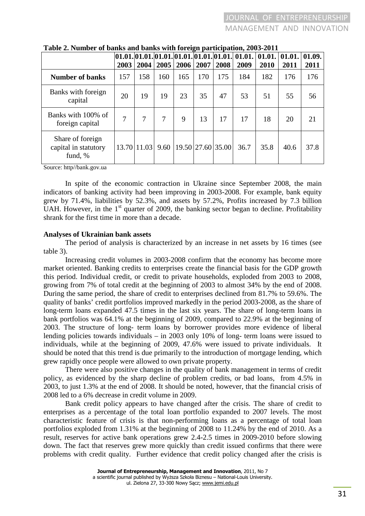|                                                     | $[01.01.]01.01.]01.01.]01.01.]01.01.]01.01.]$<br>2003 | 2004        | 2005 | 2006 | 2007              | 2008 | 01.01.<br>2009 | 01.01.<br>2010 | 01.01.<br>2011 | 01.09.<br>2011 |
|-----------------------------------------------------|-------------------------------------------------------|-------------|------|------|-------------------|------|----------------|----------------|----------------|----------------|
| <b>Number of banks</b>                              | 157                                                   | 158         | 160  | 165  | 170               | 175  | 184            | 182            | 176            | 176            |
| Banks with foreign<br>capital                       | 20                                                    | 19          | 19   | 23   | 35                | 47   | 53             | 51             | 55             | 56             |
| Banks with 100% of<br>foreign capital               | 7                                                     | 7           | 7    | 9    | 13                | 17   | 17             | 18             | 20             | 21             |
| Share of foreign<br>capital in statutory<br>fund, % |                                                       | 13.70 11.03 | 9.60 |      | 19.50 27.60 35.00 |      | 36.7           | 35.8           | 40.6           | 37.8           |

|  |  |  | Table 2. Number of banks and banks with foreign participation, 2003-2011 |
|--|--|--|--------------------------------------------------------------------------|
|--|--|--|--------------------------------------------------------------------------|

Source: http//bank.gov.ua

In spite of the economic contraction in Ukraine since September 2008, the main indicators of banking activity had been improving in 2003-2008. For example, bank equity grew by 71.4%, liabilities by 52.3%, and assets by 57.2%, Profits increased by 7.3 billion UAH. However, in the  $1<sup>st</sup>$  quarter of 2009, the banking sector began to decline. Profitability shrank for the first time in more than a decade.

#### **Analyses of Ukrainian bank assets**

The period of analysis is characterized by an increase in net assets by 16 times (see table 3).

Increasing credit volumes in 2003-2008 confirm that the economy has become more market oriented. Banking credits to enterprises create the financial basis for the GDP growth this period. Individual credit, or credit to private households, exploded from 2003 to 2008, growing from 7% of total credit at the beginning of 2003 to almost 34% by the end of 2008. During the same period, the share of credit to enterprises declined from 81.7% to 59.6%. The quality of banks' credit portfolios improved markedly in the period 2003-2008, as the share of long-term loans expanded 47.5 times in the last six years. The share of long-term loans in bank portfolios was 64.1% at the beginning of 2009, compared to 22.9% at the beginning of 2003. The structure of long- term loans by borrower provides more evidence of liberal lending policies towards individuals – in 2003 only 10% of long- term loans were issued to individuals, while at the beginning of 2009, 47.6% were issued to private individuals. It should be noted that this trend is due primarily to the introduction of mortgage lending, which grew rapidly once people were allowed to own private property.

There were also positive changes in the quality of bank management in terms of credit policy, as evidenced by the sharp decline of problem credits, or bad loans, from 4.5% in 2003, to just 1.3% at the end of 2008. It should be noted, however, that the financial crisis of 2008 led to a 6% decrease in credit volume in 2009.

Bank credit policy appears to have changed after the crisis. The share of credit to enterprises as a percentage of the total loan portfolio expanded to 2007 levels. The most characteristic feature of crisis is that non-performing loans as a percentage of total loan portfolios exploded from 1.31% at the beginning of 2008 to 11.24% by the end of 2010. As a result, reserves for active bank operations grew 2.4-2.5 times in 2009-2010 before slowing down. The fact that reserves grew more quickly than credit issued confirms that there were problems with credit quality. Further evidence that credit policy changed after the crisis is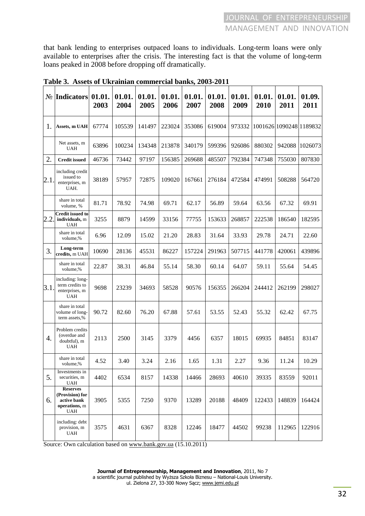that bank lending to enterprises outpaced loans to individuals. Long-term loans were only available to enterprises after the crisis. The interesting fact is that the volume of long-term loans peaked in 2008 before dropping off dramatically.

|     | N <u>∘</u> Indicators                                                     | 01.01.<br>2003 | 01.01.<br>2004 | 01.01.<br>2005 | 01.01.<br>2006 | 01.01.<br>2007 | 01.01.<br>2008 | 01.01.<br>2009 | 01.01.<br>2010 | 01.01.<br>2011 | 01.09.<br>2011          |
|-----|---------------------------------------------------------------------------|----------------|----------------|----------------|----------------|----------------|----------------|----------------|----------------|----------------|-------------------------|
| 1.  | Assets, m UAH                                                             | 67774          | 105539         | 141497         | 223024         | 353086         | 619004         | 973332         |                |                | 1001626 1090248 1189832 |
|     | Net assets, m<br>UAH                                                      | 63896          | 100234         | 134348         | 213878         | 340179         | 599396         | 926086         | 880302         | 942088         | 1026073                 |
| 2.  | <b>Credit issued</b>                                                      | 46736          | 73442          | 97197          | 156385         | 269688         | 485507         | 792384         | 747348         | 755030         | 807830                  |
| 2.1 | including credit<br>issued to<br>enterprises, m<br>UAH.                   | 38189          | 57957          | 72875          | 109020         | 167661         | 276184         | 472584         | 474991         | 508288         | 564720                  |
|     | share in total<br>volume, %                                               | 81.71          | 78.92          | 74.98          | 69.71          | 62.17          | 56.89          | 59.64          | 63.56          | 67.32          | 69.91                   |
| 2.2 | <b>Credit issued to</b><br>individuals, m<br>UAH                          | 3255           | 8879           | 14599          | 33156          | 77755          | 153633         | 268857         | 222538         | 186540         | 182595                  |
|     | share in total<br>volume,%                                                | 6.96           | 12.09          | 15.02          | 21.20          | 28.83          | 31.64          | 33.93          | 29.78          | 24.71          | 22.60                   |
| 3.  | Long-term<br>credits, m UAH                                               | 10690          | 28136          | 45531          | 86227          | 157224         | 291963         | 507715         | 441778         | 420061         | 439896                  |
|     | share in total<br>volume,%                                                | 22.87          | 38.31          | 46.84          | 55.14          | 58.30          | 60.14          | 64.07          | 59.11          | 55.64          | 54.45                   |
| 3.1 | including: long-<br>term credits to<br>enterprises, m<br><b>UAH</b>       | 9698           | 23239          | 34693          | 58528          | 90576          | 156355         | 266204         | 244412         | 262199         | 298027                  |
|     | share in total<br>volume of long-<br>term assets,%                        | 90.72          | 82.60          | 76.20          | 67.88          | 57.61          | 53.55          | 52.43          | 55.32          | 62.42          | 67.75                   |
| 4.  | Problem credits<br>(overdue and<br>doubtful), m<br>UAH                    | 2113           | 2500           | 3145           | 3379           | 4456           | 6357           | 18015          | 69935          | 84851          | 83147                   |
|     | share in total<br>volume,%                                                | 4.52           | 3.40           | 3.24           | 2.16           | 1.65           | 1.31           | 2.27           | 9.36           | 11.24          | 10.29                   |
| 5.  | Investments in<br>securities, m<br><b>UAH</b>                             | 4402           | 6534           | 8157           | 14338          | 14466          | 28693          | 40610          | 39335          | 83559          | 92011                   |
| 6.  | <b>Reserves</b><br>(Provision) for<br>active bank<br>operations, m<br>UAH | 3905           | 5355           | 7250           | 9370           | 13289          | 20188          | 48409          | 122433         | 148839         | 164424                  |
|     | including: debt<br>provision, m<br>UAH                                    | 3575           | 4631           | 6367           | 8328           | 12246          | 18477          | 44502          | 99238          | 112965         | 122916                  |

**Table 3. Assets of Ukrainian commercial banks, 2003-2011** 

Source: Own calculation based on www.bank.gov.ua (15.10.2011)

ul. Zielona 27, 33-300 Nowy Sącz; www.jemi.edu.pl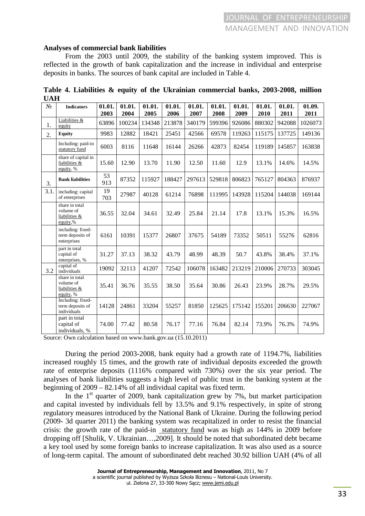#### **Analyses of commercial bank liabilities**

From the 2003 until 2009, the stability of the banking system improved. This is reflected in the growth of bank capitalization and the increase in individual and enterprise deposits in banks. The sources of bank capital are included in Table 4.

| $N_2$ | <b>Indicators</b>                                         | 01.01.    | 01.01. | 01.01. | 01.01. | 01.01. | 01.01. | 01.01. | 01.01. | 01.01. | 01.09.  |
|-------|-----------------------------------------------------------|-----------|--------|--------|--------|--------|--------|--------|--------|--------|---------|
|       |                                                           | 2003      | 2004   | 2005   | 2006   | 2007   | 2008   | 2009   | 2010   | 2011   | 2011    |
| 1.    | Liabilities &<br>equity                                   | 63896     | 100234 | 134348 | 213878 | 340179 | 599396 | 926086 | 880302 | 942088 | 1026073 |
| 2.    | <b>Equity</b>                                             | 9983      | 12882  | 18421  | 25451  | 42566  | 69578  | 119263 | 115175 | 137725 | 149136  |
|       | Including: paid-in<br>statutory fund                      | 6003      | 8116   | 11648  | 16144  | 26266  | 42873  | 82454  | 119189 | 145857 | 163838  |
|       | share of capital in<br>liabilities &<br>equity, %         | 15.60     | 12.90  | 13.70  | 11.90  | 12.50  | 11.60  | 12.9   | 13.1%  | 14.6%  | 14.5%   |
| 3.    | <b>Bank liabilities</b>                                   | 53<br>913 | 87352  | 115927 | 188427 | 297613 | 529818 | 806823 | 765127 | 804363 | 876937  |
| 3.1.  | including: capital<br>of enterprises                      | 19<br>703 | 27987  | 40128  | 61214  | 76898  | 111995 | 143928 | 115204 | 144038 | 169144  |
|       | share in total<br>volume of<br>liabilities &<br>equity,%  | 36.55     | 32.04  | 34.61  | 32.49  | 25.84  | 21.14  | 17.8   | 13.1%  | 15.3%  | 16.5%   |
|       | including: fixed-<br>term deposits of<br>enterprises      | 6161      | 10391  | 15377  | 26807  | 37675  | 54189  | 73352  | 50511  | 55276  | 62816   |
|       | part in total<br>capital of<br>enterprises, %             | 31.27     | 37.13  | 38.32  | 43.79  | 48.99  | 48.39  | 50.7   | 43.8%  | 38.4%  | 37.1%   |
| 3.2   | capital of<br>individuals                                 | 19092     | 32113  | 41207  | 72542  | 106078 | 163482 | 213219 | 210006 | 270733 | 303045  |
|       | share in total<br>volume of<br>liabilities &<br>equity, % | 35.41     | 36.76  | 35.55  | 38.50  | 35.64  | 30.86  | 26.43  | 23.9%  | 28.7%  | 29.5%   |
|       | Including: fixed-<br>term deposits of<br>individuals      | 14128     | 24861  | 33204  | 55257  | 81850  | 125625 | 175142 | 155201 | 206630 | 227067  |
|       | part in total<br>capital of<br>individuals, %             | 74.00     | 77.42  | 80.58  | 76.17  | 77.16  | 76.84  | 82.14  | 73.9%  | 76.3%  | 74.9%   |

**Table 4. Liabilities & equity of the Ukrainian commercial banks, 2003-2008, million UAH** 

Source: Own calculation based on www.bank.gov.ua (15.10.2011)

During the period 2003-2008, bank equity had a growth rate of 1194.7%, liabilities increased roughly 15 times, and the growth rate of individual deposits exceeded the growth rate of enterprise deposits (1116% compared with 730%) over the six year period. The analyses of bank liabilities suggests a high level of public trust in the banking system at the beginning of 2009 – 82.14% of all individual capital was fixed term.

In the  $1<sup>st</sup>$  quarter of 2009, bank capitalization grew by 7%, but market participation and capital invested by individuals fell by 13.5% and 9.1% respectively, in spite of strong regulatory measures introduced by the National Bank of Ukraine. During the following period (2009- 3d quarter 2011) the banking system was recapitalized in order to resist the financial crisis: the growth rate of the paid-in statutory fund was as high as 144% in 2009 before dropping off [Shulik, V. Ukrainian…,2009]. It should be noted that subordinated debt became a key tool used by some foreign banks to increase capitalization. It was also used as a source of long-term capital. The amount of subordinated debt reached 30.92 billion UAH (4% of all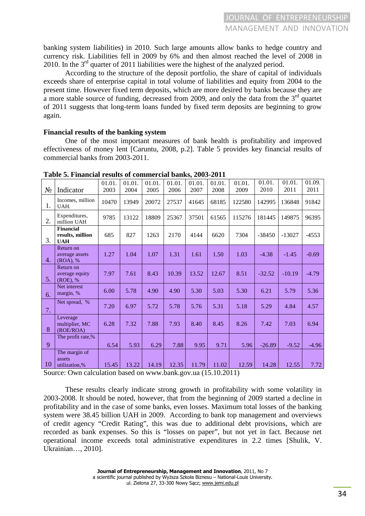banking system liabilities) in 2010. Such large amounts allow banks to hedge country and currency risk. Liabilities fell in 2009 by 6% and then almost reached the level of 2008 in 2010. In the  $3<sup>rd</sup>$  quarter of 2011 liabilities were the highest of the analyzed period.

According to the structure of the deposit portfolio, the share of capital of individuals exceeds share of enterprise capital in total volume of liabilities and equity from 2004 to the present time. However fixed term deposits, which are more desired by banks because they are a more stable source of funding, decreased from 2009, and only the data from the  $3<sup>rd</sup>$  quartet of 2011 suggests that long-term loans funded by fixed term deposits are beginning to grow again.

#### **Financial results of the banking system**

One of the most important measures of bank health is profitability and improved effectiveness of money lent [Caruntu, 2008, p.2]. Table 5 provides key financial results of commercial banks from 2003-2011.

| $N_2$ | Indicator                                          | 01.01.<br>2003 | 01.01.<br>2004 | 01.01.<br>2005 | 01.01.<br>2006 | 01.01.<br>2007 | 01.01.<br>2008 | 01.01.<br>2009 | 01.01.<br>2010 | 01.01.<br>2011 | 01.09.<br>2011 |
|-------|----------------------------------------------------|----------------|----------------|----------------|----------------|----------------|----------------|----------------|----------------|----------------|----------------|
| 1.    | Incomes, million<br>UAH.                           | 10470          | 13949          | 20072          | 27537          | 41645          | 68185          | 122580         | 142995         | 136848         | 91842          |
| 2.    | Expenditures,<br>million UAH                       | 9785           | 13122          | 18809          | 25367          | 37501          | 61565          | 115276         | 181445         | 149875         | 96395          |
| 3.    | <b>Financial</b><br>results, million<br><b>UAH</b> | 685            | 827            | 1263           | 2170           | 4144           | 6620           | 7304           | $-38450$       | $-13027$       | $-4553$        |
| 4.    | Return on<br>average assets<br>(ROA), %            | 1.27           | 1.04           | 1.07           | 1.31           | 1.61           | 1.50           | 1.03           | $-4.38$        | $-1.45$        | $-0.69$        |
| 5.    | Return on<br>average equity<br>(ROE), %            | 7.97           | 7.61           | 8.43           | 10.39          | 13.52          | 12.67          | 8.51           | $-32.52$       | $-10.19$       | $-4.79$        |
| 6.    | Net interest<br>margin, %                          | 6.00           | 5.78           | 4.90           | 4.90           | 5.30           | 5.03           | 5.30           | 6.21           | 5.79           | 5.36           |
| 7.    | Net spread, %                                      | 7.20           | 6.97           | 5.72           | 5.78           | 5.76           | 5.31           | 5.18           | 5.29           | 4.84           | 4.57           |
| 8     | Leverage<br>multiplier, MC<br>(ROE/ROA)            | 6.28           | 7.32           | 7.88           | 7.93           | 8.40           | 8.45           | 8.26           | 7.42           | 7.03           | 6.94           |
| 9     | The profit rate,%                                  | 6.54           | 5.93           | 6.29           | 7.88           | 9.95           | 9.71           | 5.96           | $-26.89$       | $-9.52$        | $-4.96$        |
| 10    | The margin of<br>assets<br>utilization,%           | 15.45          | 13.22          | 14.19          | 12.35          | 11.79          | 11.02          | 12.59          | 14.28          | 12.55          | 7.72           |

**Table 5. Financial results of commercial banks, 2003-2011** 

Source: Own calculation based on www.bank.gov.ua (15.10.2011)

 These results clearly indicate strong growth in profitability with some volatility in 2003-2008. It should be noted, however, that from the beginning of 2009 started a decline in profitability and in the case of some banks, even losses. Maximum total losses of the banking system were 38.45 billion UAH in 2009. According to bank top management and overviews of credit agency "Credit Rating", this was due to additional debt provisions, which are recorded as bank expenses. So this is "losses on paper", but not yet in fact. Because net operational income exceeds total administrative expenditures in 2.2 times [Shulik, V. Ukrainian…, 2010].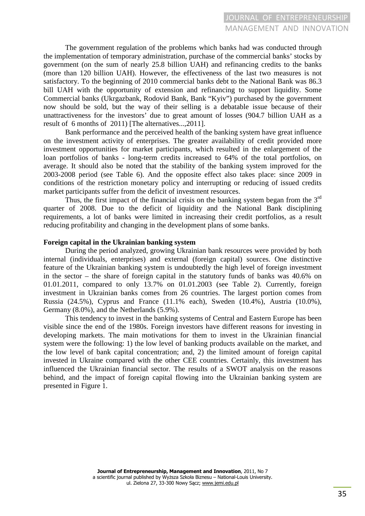The government regulation of the problems which banks had was conducted through the implementation of temporary administration, purchase of the commercial banks' stocks by government (on the sum of nearly 25.8 billion UAH) and refinancing credits to the banks (more than 120 billion UAH). However, the effectiveness of the last two measures is not satisfactory. To the beginning of 2010 commercial banks debt to the National Bank was 86.3 bill UAH with the opportunity of extension and refinancing to support liquidity. Some Commercial banks (Ukrgazbank, Rodovid Bank, Bank "Kyiv") purchased by the government now should be sold, but the way of their selling is a debatable issue because of their unattractiveness for the investors' due to great amount of losses (904.7 billion UAH as a result of 6 months of 2011) [The alternatives...,2011].

Bank performance and the perceived health of the banking system have great influence on the investment activity of enterprises. The greater availability of credit provided more investment opportunities for market participants, which resulted in the enlargement of the loan portfolios of banks - long-term credits increased to 64% of the total portfolios, on average. It should also be noted that the stability of the banking system improved for the 2003-2008 period (see Table 6). And the opposite effect also takes place: since 2009 in conditions of the restriction monetary policy and interrupting or reducing of issued credits market participants suffer from the deficit of investment resources.

Thus, the first impact of the financial crisis on the banking system began from the  $3<sup>rd</sup>$ quarter of 2008. Due to the deficit of liquidity and the National Bank disciplining requirements, a lot of banks were limited in increasing their credit portfolios, as a result reducing profitability and changing in the development plans of some banks.

#### **Foreign capital in the Ukrainian banking system**

During the period analyzed, growing Ukrainian bank resources were provided by both internal (individuals, enterprises) and external (foreign capital) sources. One distinctive feature of the Ukrainian banking system is undoubtedly the high level of foreign investment in the sector – the share of foreign capital in the statutory funds of banks was 40.6% on 01.01.2011, compared to only 13.7% on 01.01.2003 (see Table 2). Currently, foreign investment in Ukrainian banks comes from 26 countries. The largest portion comes from Russia (24.5%), Cyprus and France (11.1% each), Sweden (10.4%), Austria (10.0%), Germany (8.0%), and the Netherlands (5.9%).

This tendency to invest in the banking systems of Central and Eastern Europe has been visible since the end of the 1980s. Foreign investors have different reasons for investing in developing markets. The main motivations for them to invest in the Ukrainian financial system were the following: 1) the low level of banking products available on the market, and the low level of bank capital concentration; and, 2) the limited amount of foreign capital invested in Ukraine compared with the other CEE countries. Certainly, this investment has influenced the Ukrainian financial sector. The results of a SWOT analysis on the reasons behind, and the impact of foreign capital flowing into the Ukrainian banking system are presented in Figure 1.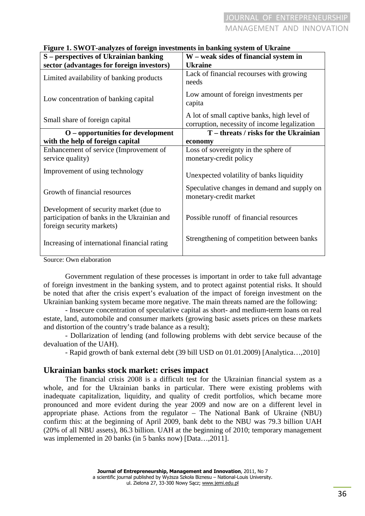| S - perspectives of Ukrainian banking                                                                              | W - weak sides of financial system in                                                       |
|--------------------------------------------------------------------------------------------------------------------|---------------------------------------------------------------------------------------------|
| sector (advantages for foreign investors)                                                                          | <b>Ukraine</b>                                                                              |
| Limited availability of banking products                                                                           | Lack of financial recourses with growing<br>needs                                           |
| Low concentration of banking capital                                                                               | Low amount of foreign investments per<br>capita                                             |
| Small share of foreign capital                                                                                     | A lot of small captive banks, high level of<br>corruption, necessity of income legalization |
| $O$ – opportunities for development                                                                                | T – threats / risks for the Ukrainian                                                       |
| with the help of foreign capital                                                                                   | economy                                                                                     |
| Enhancement of service (Improvement of<br>service quality)                                                         | Loss of sovereignty in the sphere of<br>monetary-credit policy                              |
| Improvement of using technology                                                                                    | Unexpected volatility of banks liquidity                                                    |
| Growth of financial resources                                                                                      | Speculative changes in demand and supply on<br>monetary-credit market                       |
| Development of security market (due to<br>participation of banks in the Ukrainian and<br>foreign security markets) | Possible runoff of financial resources                                                      |
| Increasing of international financial rating                                                                       | Strengthening of competition between banks                                                  |
| $\sim$ $\sim$ $\sim$                                                                                               |                                                                                             |

#### **Figure 1. SWOT-analyzes of foreign investments in banking system of Ukraine**

Source: Own elaboration

Government regulation of these processes is important in order to take full advantage of foreign investment in the banking system, and to protect against potential risks. It should be noted that after the crisis expert's evaluation of the impact of foreign investment on the Ukrainian banking system became more negative. The main threats named are the following:

- Insecure concentration of speculative capital as short- and medium-term loans on real estate, land, automobile and consumer markets (growing basic assets prices on these markets and distortion of the country's trade balance as a result);

- Dollarization of lending (and following problems with debt service because of the devaluation of the UAH).

- Rapid growth of bank external debt (39 bill USD on 01.01.2009) [Analytica…,2010]

## **Ukrainian banks stock market: сrises impact**

The financial crisis 2008 is a difficult test for the Ukrainian financial system as a whole, and for the Ukrainian banks in particular. There were existing problems with inadequate capitalization, liquidity, and quality of credit portfolios, which became more pronounced and more evident during the year 2009 and now are on a different level in appropriate phase. Actions from the regulator – The National Bank of Ukraine (NBU) confirm this: at the beginning of April 2009, bank debt to the NBU was 79.3 billion UAH (20% of all NBU assets), 86.3 billion. UAH at the beginning of 2010; temporary management was implemented in 20 banks (in 5 banks now) [Data...,2011].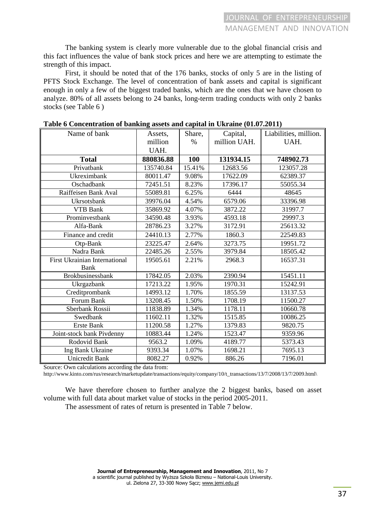The banking system is clearly more vulnerable due to the global financial crisis and this fact influences the value of bank stock prices and here we are attempting to estimate the strength of this impact.

First, it should be noted that of the 176 banks, stocks of only 5 are in the listing of PFTS Stock Exchange. The level of concentration of bank assets and capital is significant enough in only a few of the biggest traded banks, which are the ones that we have chosen to analyze. 80% of all assets belong to 24 banks, long-term trading conducts with only 2 banks stocks (see Table 6 )

| Name of bank                         | Assets,   | Share,     | Capital,     | Liabilities, million. |
|--------------------------------------|-----------|------------|--------------|-----------------------|
|                                      | million   | $\%$       | million UAH. | UAH.                  |
|                                      | UAH.      |            |              |                       |
| <b>Total</b>                         | 880836.88 | <b>100</b> | 131934.15    | 748902.73             |
| Privatbank                           | 135740.84 | 15.41%     | 12683.56     | 123057.28             |
| Ukreximbank                          | 80011.47  | 9.08%      | 17622.09     | 62389.37              |
| Oschadbank                           | 72451.51  | 8.23%      | 17396.17     | 55055.34              |
| Raiffeisen Bank Aval                 | 55089.81  | 6.25%      | 6444         | 48645                 |
| Ukrsotsbank                          | 39976.04  | 4.54%      | 6579.06      | 33396.98              |
| <b>VTB Bank</b>                      | 35869.92  | 4.07%      | 3872.22      | 31997.7               |
| Prominvestbank                       | 34590.48  | 3.93%      | 4593.18      | 29997.3               |
| Alfa-Bank                            | 28786.23  | 3.27%      | 3172.91      | 25613.32              |
| Finance and credit                   | 24410.13  | 2.77%      | 1860.3       | 22549.83              |
| Otp-Bank                             | 23225.47  | 2.64%      | 3273.75      | 19951.72              |
| Nadra Bank                           | 22485.26  | 2.55%      | 3979.84      | 18505.42              |
| <b>First Ukrainian International</b> | 19505.61  | 2.21%      | 2968.3       | 16537.31              |
| Bank                                 |           |            |              |                       |
| <b>Brokbusinessbank</b>              | 17842.05  | 2.03%      | 2390.94      | 15451.11              |
| Ukrgazbank                           | 17213.22  | 1.95%      | 1970.31      | 15242.91              |
| Creditprombank                       | 14993.12  | 1.70%      | 1855.59      | 13137.53              |
| Forum Bank                           | 13208.45  | 1.50%      | 1708.19      | 11500.27              |
| Sberbank Rossii                      | 11838.89  | 1.34%      | 1178.11      | 10660.78              |
| Swedbank                             | 11602.11  | 1.32%      | 1515.85      | 10086.25              |
| <b>Erste Bank</b>                    | 11200.58  | 1.27%      | 1379.83      | 9820.75               |
| Joint-stock bank Pivdenny            | 10883.44  | 1.24%      | 1523.47      | 9359.96               |
| Rodovid Bank                         | 9563.2    | 1.09%      | 4189.77      | 5373.43               |
| Ing Bank Ukraine                     | 9393.34   | 1.07%      | 1698.21      | 7695.13               |
| <b>Unicredit Bank</b>                | 8082.27   | 0.92%      | 886.26       | 7196.01               |

| Table 6 Concentration of banking assets and capital in Ukraine (01.07.2011) |
|-----------------------------------------------------------------------------|
|-----------------------------------------------------------------------------|

Source: Own calculations according the data from:

http://www.kinto.com/rus/research/marketupdate/transactions/equity/company/10/t\_transactions/13/7/2008/13/7/2009.html\

We have therefore chosen to further analyze the 2 biggest banks, based on asset volume with full data about market value of stocks in the period 2005-2011.

The assessment of rates of return is presented in Table 7 below.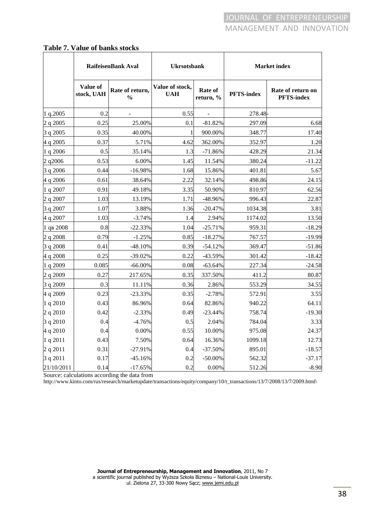#### **Table 7. Value of banks stocks**

|            |                        | RaifeisenBank Aval               | <b>Ukrsotsbank</b>            |                      | <b>Market</b> index |                                        |
|------------|------------------------|----------------------------------|-------------------------------|----------------------|---------------------|----------------------------------------|
|            | Value of<br>stock, UAH | Rate of return,<br>$\frac{0}{0}$ | Value of stock,<br><b>UAH</b> | Rate of<br>return, % | <b>PFTS-index</b>   | Rate of return on<br><b>PFTS-index</b> |
| 1 q.2005   | 0.2                    |                                  | 0.55                          |                      | 278.48              |                                        |
| 2 q 2005   | 0.25                   | 25.00%                           | 0.1                           | $-81.82%$            | 297.09              | 6.68                                   |
| 3 q 2005   | 0.35                   | 40.00%                           |                               | 900.00%              | 348.77              | 17.40                                  |
| 4 q 2005   | 0.37                   | 5.71%                            | 4.62                          | 362.00%              | 352.97              | 1.20                                   |
| 1 q 2006   | 0.5                    | 35.14%                           | 1.3                           | $-71.86%$            | 428.29              | 21.34                                  |
| 2 q2006    | 0.53                   | 6.00%                            | 1.45                          | 11.54%               | 380.24              | $-11.22$                               |
| 3 q 2006   | 0.44                   | $-16.98%$                        | 1.68                          | 15.86%               | 401.81              | 5.67                                   |
| 4 q 2006   | 0.61                   | 38.64%                           | 2.22                          | 32.14%               | 498.86              | 24.15                                  |
| 1 q 2007   | 0.91                   | 49.18%                           | 3.35                          | 50.90%               | 810.97              | 62.56                                  |
| 2 q 2007   | 1.03                   | 13.19%                           | 1.71                          | -48.96%              | 996.43              | 22.87                                  |
| 3 q 2007   | 1.07                   | 3.88%                            | 1.36                          | $-20.47%$            | 1034.38             | 3.81                                   |
| 4 q 2007   | 1.03                   | $-3.74%$                         | 1.4                           | 2.94%                | 1174.02             | 13.50                                  |
| 1 дв 2008  | 0.8                    | $-22.33%$                        | 1.04                          | $-25.71%$            | 959.31              | $-18.29$                               |
| 2 q 2008   | 0.79                   | $-1.25%$                         | 0.85                          | $-18.27%$            | 767.57              | $-19.99$                               |
| 3 q 2008   | 0.41                   | $-48.10%$                        | 0.39                          | $-54.12%$            | 369.47              | $-51.86$                               |
| 4 q 2008   | 0.25                   | $-39.02%$                        | 0.22                          | -43.59%              | 301.42              | $-18.42$                               |
| 1 q 2009   | 0.085                  | $-66.00\%$                       | 0.08                          | $-63.64%$            | 227.34              | $-24.58$                               |
| 2 q 2009   | 0.27                   | 217.65%                          | 0.35                          | 337.50%              | 411.2               | 80.87                                  |
| 3 q 2009   | 0.3                    | 11.11%                           | 0.36                          | 2.86%                | 553.29              | 34.55                                  |
| 4 q 2009   | 0.23                   | $-23.33%$                        | 0.35                          | $-2.78%$             | 572.91              | 3.55                                   |
| 1 q 2010   | 0.43                   | 86.96%                           | 0.64                          | 82.86%               | 940.22              | 64.11                                  |
| 2 q 2010   | 0.42                   | $-2.33%$                         | 0.49                          | $-23.44%$            | 758.74              | $-19.30$                               |
| 3 q 2010   | 0.4                    | $-4.76%$                         | 0.5                           | 2.04%                | 784.04              | 3.33                                   |
| 4 q 2010   | 0.4                    | 0.00%                            | 0.55                          | 10.00%               | 975.08              | 24.37                                  |
| 1 q 2011   | 0.43                   | 7.50%                            | 0.64                          | 16.36%               | 1099.18             | 12.73                                  |
| 2 q 2011   | 0.31                   | $-27.91%$                        | 0.4                           | $-37.50%$            | 895.01              | $-18.57$                               |
| 3 q 2011   | 0.17                   | $-45.16%$                        | 0.2                           | $-50.00%$            | 562.32              | $-37.17$                               |
| 21/10/2011 | 0.14                   | $-17.65%$                        | 0.2                           | 0.00%                | 512.26              | $-8.90$                                |

Source: calculations according the data from

http://www.kinto.com/rus/research/marketupdate/transactions/equity/company/10/t\_transactions/13/7/2008/13/7/2009.html\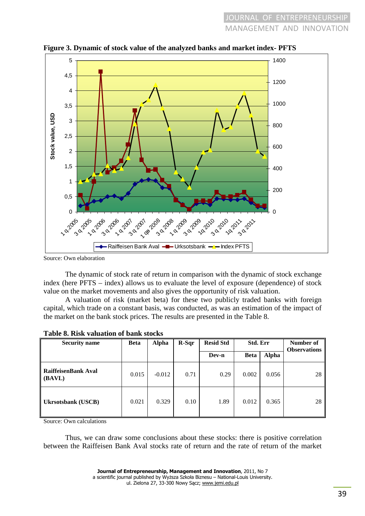

**Figure 3. Dynamic of stock value of the analyzed banks and market index- PFTS** 

Source: Own elaboration

The dynamic of stock rate of return in comparison with the dynamic of stock exchange index (here PFTS – index) allows us to evaluate the level of exposure (dependence) of stock value on the market movements and also gives the opportunity of risk valuation.

A valuation of risk (market beta) for these two publicly traded banks with foreign capital, which trade on a constant basis, was conducted, as was an estimation of the impact of the market on the bank stock prices. The results are presented in the Table 8.

| <b>Security name</b>               | <b>Beta</b> | <b>Alpha</b> | $R-Sqr$ | <b>Resid Std</b> | Std. Err    |              | Number of<br><b>Observations</b> |
|------------------------------------|-------------|--------------|---------|------------------|-------------|--------------|----------------------------------|
|                                    |             |              |         | Dev-n            | <b>Beta</b> | <b>Alpha</b> |                                  |
| RaiffeisenBank Aval<br>(BAVL)      | 0.015       | $-0.012$     | 0.71    | 0.29             | 0.002       | 0.056        | 28                               |
| <b>Ukrsotsbank</b> ( <b>USCB</b> ) | 0.021       | 0.329        | 0.10    | 1.89             | 0.012       | 0.365        | 28                               |

|  | Table 8. Risk valuation of bank stocks |  |  |
|--|----------------------------------------|--|--|
|--|----------------------------------------|--|--|

Source: Own calculations

Thus, we can draw some conclusions about these stocks: there is positive correlation between the Raiffeisen Bank Aval stocks rate of return and the rate of return of the market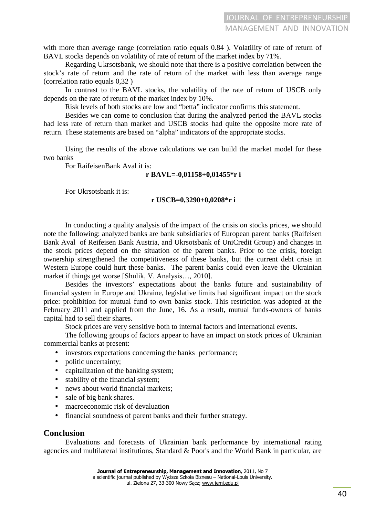with more than average range (correlation ratio equals  $0.84$ ). Volatility of rate of return of BAVL stocks depends on volatility of rate of return of the market index by 71%.

Regarding Ukrsotsbank, we should note that there is a positive correlation between the stock's rate of return and the rate of return of the market with less than average range (correlation ratio equals 0,32 )

In contrast to the BAVL stocks, the volatility of the rate of return of USCB only depends on the rate of return of the market index by 10%.

Risk levels of both stocks are low and "betta" indicator confirms this statement.

Besides we can come to conclusion that during the analyzed period the BAVL stocks had less rate of return than market and USCB stocks had quite the opposite more rate of return. These statements are based on "alpha" indicators of the appropriate stocks.

Using the results of the above calculations we can build the market model for these two banks

For RaifeisenBank Aval it is:

#### **r BAVL=-0,01158+0,01455\*r i**

For Ukrsotsbank it is:

#### **r USCB=0,3290+0,0208\*r i**

In conducting a quality analysis of the impact of the crisis on stocks prices, we should note the following: analyzed banks are bank subsidiaries of European parent banks (Raifeisen Bank Aval of Reifeisen Bank Austria, and Ukrsotsbank of UniCredit Group) and changes in the stock prices depend on the situation of the parent banks. Prior to the crisis, foreign ownership strengthened the competitiveness of these banks, but the current debt crisis in Western Europe could hurt these banks. The parent banks could even leave the Ukrainian market if things get worse [Shulik, V. Analysis…, 2010].

Besides the investors' expectations about the banks future and sustainability of financial system in Europe and Ukraine, legislative limits had significant impact on the stock price: prohibition for mutual fund to own banks stock. This restriction was adopted at the February 2011 and applied from the June, 16. As a result, mutual funds-owners of banks capital had to sell their shares.

Stock prices are very sensitive both to internal factors and international events.

The following groups of factors appear to have an impact on stock prices of Ukrainian commercial banks at present:

- investors expectations concerning the banks performance;
- politic uncertainty;
- capitalization of the banking system;
- stability of the financial system:
- news about world financial markets:
- sale of big bank shares.
- macroeconomic risk of devaluation
- financial soundness of parent banks and their further strategy.

## **Conclusion**

Evaluations and forecasts of Ukrainian bank performance by international rating agencies and multilateral institutions, Standard & Poor's and the World Bank in particular, are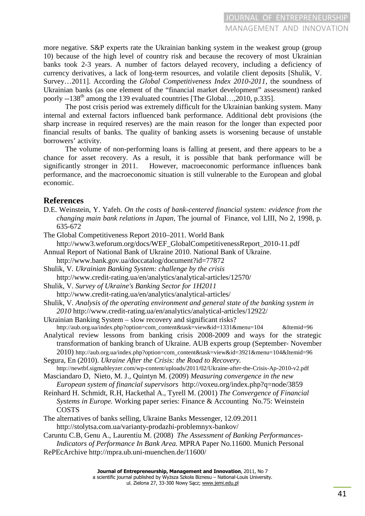more negative. S&P experts rate the Ukrainian banking system in the weakest group (group 10) because of the high level of country risk and because the recovery of most Ukrainian banks took 2-3 years. A number of factors delayed recovery, including a deficiency of currency derivatives, a lack of long-term resources, and volatile client deposits [Shulik, V. Survey…2011]. According the *Global Competitiveness Index 2010-2011*, the soundness of Ukrainian banks (as one element of the "financial market development" assessment) ranked poorly  $-138$ <sup>th</sup> among the 139 evaluated countries [The Global..., 2010, p.335].

The post crisis period was extremely difficult for the Ukrainian banking system. Many internal and external factors influenced bank performance. Additional debt provisions (the sharp increase in required reserves) are the main reason for the longer than expected poor financial results of banks. The quality of banking assets is worsening because of unstable borrowers' activity.

The volume of non-performing loans is falling at present, and there appears to be a chance for asset recovery. As a result, it is possible that bank performance will be significantly stronger in 2011. However, macroeconomic performance influences bank performance, and the macroeconomic situation is still vulnerable to the European and global economic.

## **References**

- D.E. Weinstein, Y. Yafeh. *On the costs of bank-centered financial system: evidence from the changing main bank relations in Japan*, The journal of Finance, vol LIII, No 2, 1998, p. 635-672
- The Global Competitiveness Report 2010–2011. World Bank http://www3.weforum.org/docs/WEF\_GlobalCompetitivenessReport\_2010-11.pdf
- Annual Report of National Bank of Ukraine 2010. National Bank of Ukraine.
- http://www.bank.gov.ua/doccatalog/document?id=77872
- Shulik, V. *Ukrainian Banking System: challenge by the crisis*  http://www.credit-rating.ua/en/analytics/analytical-articles/12570/
- Shulik, V. *Survey of Ukraine's Banking Sector for 1H2011*
- http://www.credit-rating.ua/en/analytics/analytical-articles/
- Shulik, V. *Analysis of the operating environment and general state of the banking system in 2010* http://www.credit-rating.ua/en/analytics/analytical-articles/12922/
- Ukrainian Banking System slow recovery and significant risks? http://aub.org.ua/index.php?option=com\_content&task=view&id=1331&menu=104 &Itemid=96
- Analytical review lessons from banking crisis 2008-2009 and ways for the strategic transformation of banking branch of Ukraine. AUB experts group (September- November 2010) http://aub.org.ua/index.php?option=com\_content&task=view&id=3921&menu=104&Itemid=96
- Segura, En (2010). *Ukraine After the Crisis: the Road to Recovery.* http://newtbf.sigmableyzer.com/wp-content/uploads/2011/02/Ukraine-after-the-Crisis-Ap-2010-v2.pdf
- Masciandaro D, Nieto, M. J., Quintyn M. (2009) *Measuring convergence in the new European system of financial supervisors* http://voxeu.org/index.php?q=node/3859
- Reinhard H. Schmidt, R.H, Hackethal A., Tyrell M. (2001) *The Convergence of Financial Systems in Europe.* Working paper series: Finance & Accounting No.75: Weinstein COSTS
- The alternatives of banks selling, Ukraine Banks Messenger, 12.09.2011 http://stolytsa.com.ua/varianty-prodazhi-problemnyx-bankov/

Caruntu C.B, Genu A., Laurentiu M. (2008) *The Assessment of Banking Performances- Indicators of Performance In Bank Area.* MPRA Paper No.11600. Munich Personal RePEcArchive http://mpra.ub.uni-muenchen.de/11600/